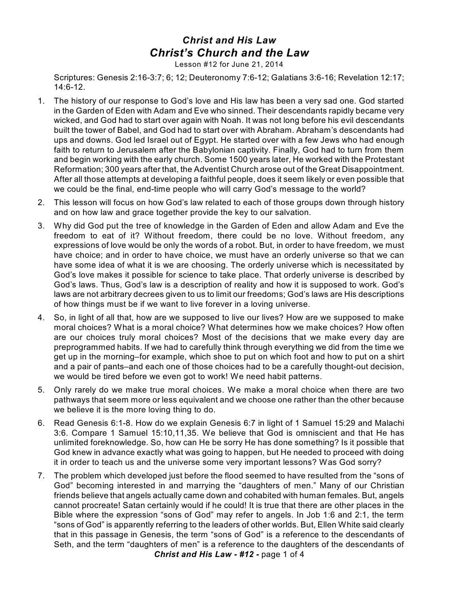## *Christ and His Law Christ's Church and the Law*

Lesson #12 for June 21, 2014

Scriptures: Genesis 2:16-3:7; 6; 12; Deuteronomy 7:6-12; Galatians 3:6-16; Revelation 12:17; 14:6-12.

- 1. The history of our response to God's love and His law has been a very sad one. God started in the Garden of Eden with Adam and Eve who sinned. Their descendants rapidly became very wicked, and God had to start over again with Noah. It was not long before his evil descendants built the tower of Babel, and God had to start over with Abraham. Abraham's descendants had ups and downs. God led Israel out of Egypt. He started over with a few Jews who had enough faith to return to Jerusalem after the Babylonian captivity. Finally, God had to turn from them and begin working with the early church. Some 1500 years later, He worked with the Protestant Reformation; 300 years after that, the Adventist Church arose out of the Great Disappointment. After all those attempts at developing a faithful people, does it seem likely or even possible that we could be the final, end-time people who will carry God's message to the world?
- 2. This lesson will focus on how God's law related to each of those groups down through history and on how law and grace together provide the key to our salvation.
- 3. Why did God put the tree of knowledge in the Garden of Eden and allow Adam and Eve the freedom to eat of it? Without freedom, there could be no love. Without freedom, any expressions of love would be only the words of a robot. But, in order to have freedom, we must have choice; and in order to have choice, we must have an orderly universe so that we can have some idea of what it is we are choosing. The orderly universe which is necessitated by God's love makes it possible for science to take place. That orderly universe is described by God's laws. Thus, God's law is a description of reality and how it is supposed to work. God's laws are not arbitrary decrees given to us to limit our freedoms; God's laws are His descriptions of how things must be if we want to live forever in a loving universe.
- 4. So, in light of all that, how are we supposed to live our lives? How are we supposed to make moral choices? What is a moral choice? What determines how we make choices? How often are our choices truly moral choices? Most of the decisions that we make every day are preprogrammed habits. If we had to carefully think through everything we did from the time we get up in the morning–for example, which shoe to put on which foot and how to put on a shirt and a pair of pants–and each one of those choices had to be a carefully thought-out decision, we would be tired before we even got to work! We need habit patterns.
- 5. Only rarely do we make true moral choices. We make a moral choice when there are two pathways that seem more or less equivalent and we choose one rather than the other because we believe it is the more loving thing to do.
- 6. Read Genesis 6:1-8. How do we explain Genesis 6:7 in light of 1 Samuel 15:29 and Malachi 3:6. Compare 1 Samuel 15:10,11,35. We believe that God is omniscient and that He has unlimited foreknowledge. So, how can He be sorry He has done something? Is it possible that God knew in advance exactly what was going to happen, but He needed to proceed with doing it in order to teach us and the universe some very important lessons? Was God sorry?
- 7. The problem which developed just before the flood seemed to have resulted from the "sons of God" becoming interested in and marrying the "daughters of men." Many of our Christian friends believe that angels actually came down and cohabited with human females. But, angels cannot procreate! Satan certainly would if he could! It is true that there are other places in the Bible where the expression "sons of God" may refer to angels. In Job 1:6 and 2:1, the term "sons of God" is apparently referring to the leaders of other worlds. But, Ellen White said clearly that in this passage in Genesis, the term "sons of God" is a reference to the descendants of Seth, and the term "daughters of men" is a reference to the daughters of the descendants of *Christ and His Law - #12 -* page 1 of 4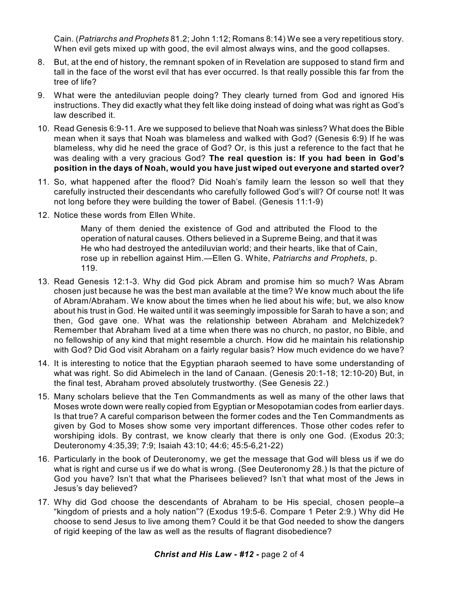Cain. (*Patriarchs and Prophets* 81.2; John 1:12; Romans 8:14) We see a very repetitious story. When evil gets mixed up with good, the evil almost always wins, and the good collapses.

- 8. But, at the end of history, the remnant spoken of in Revelation are supposed to stand firm and tall in the face of the worst evil that has ever occurred. Is that really possible this far from the tree of life?
- 9. What were the antediluvian people doing? They clearly turned from God and ignored His instructions. They did exactly what they felt like doing instead of doing what was right as God's law described it.
- 10. Read Genesis 6:9-11. Are we supposed to believe that Noah was sinless? What does the Bible mean when it says that Noah was blameless and walked with God? (Genesis 6:9) If he was blameless, why did he need the grace of God? Or, is this just a reference to the fact that he was dealing with a very gracious God? **The real question is: If you had been in God's position in the days of Noah, would you have just wiped out everyone and started over?**
- 11. So, what happened after the flood? Did Noah's family learn the lesson so well that they carefully instructed their descendants who carefully followed God's will? Of course not! It was not long before they were building the tower of Babel. (Genesis 11:1-9)
- 12. Notice these words from Ellen White.

Many of them denied the existence of God and attributed the Flood to the operation of natural causes. Others believed in a Supreme Being, and that it was He who had destroyed the antediluvian world; and their hearts, like that of Cain, rose up in rebellion against Him.—Ellen G. White, *Patriarchs and Prophets*, p. 119.

- 13. Read Genesis 12:1-3. Why did God pick Abram and promise him so much? Was Abram chosen just because he was the best man available at the time? We know much about the life of Abram/Abraham. We know about the times when he lied about his wife; but, we also know about his trust in God. He waited until it was seemingly impossible for Sarah to have a son; and then, God gave one. What was the relationship between Abraham and Melchizedek? Remember that Abraham lived at a time when there was no church, no pastor, no Bible, and no fellowship of any kind that might resemble a church. How did he maintain his relationship with God? Did God visit Abraham on a fairly regular basis? How much evidence do we have?
- 14. It is interesting to notice that the Egyptian pharaoh seemed to have some understanding of what was right. So did Abimelech in the land of Canaan. (Genesis 20:1-18; 12:10-20) But, in the final test, Abraham proved absolutely trustworthy. (See Genesis 22.)
- 15. Many scholars believe that the Ten Commandments as well as many of the other laws that Moses wrote down were really copied from Egyptian or Mesopotamian codes from earlier days. Is that true? A careful comparison between the former codes and the Ten Commandments as given by God to Moses show some very important differences. Those other codes refer to worshiping idols. By contrast, we know clearly that there is only one God. (Exodus 20:3; Deuteronomy 4:35,39; 7:9; Isaiah 43:10; 44:6; 45:5-6,21-22)
- 16. Particularly in the book of Deuteronomy, we get the message that God will bless us if we do what is right and curse us if we do what is wrong. (See Deuteronomy 28.) Is that the picture of God you have? Isn't that what the Pharisees believed? Isn't that what most of the Jews in Jesus's day believed?
- 17. Why did God choose the descendants of Abraham to be His special, chosen people–a "kingdom of priests and a holy nation"? (Exodus 19:5-6. Compare 1 Peter 2:9.) Why did He choose to send Jesus to live among them? Could it be that God needed to show the dangers of rigid keeping of the law as well as the results of flagrant disobedience?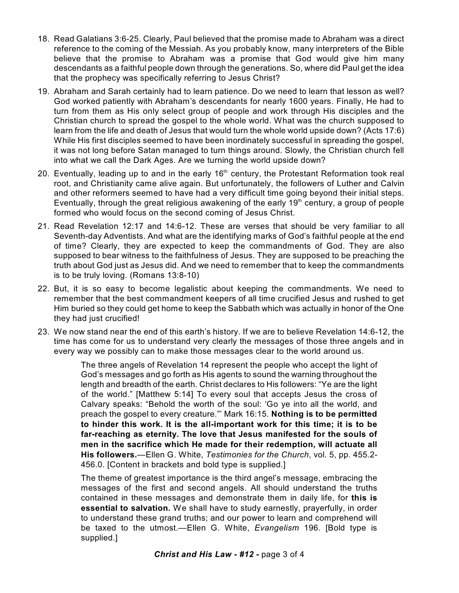- 18. Read Galatians 3:6-25. Clearly, Paul believed that the promise made to Abraham was a direct reference to the coming of the Messiah. As you probably know, many interpreters of the Bible believe that the promise to Abraham was a promise that God would give him many descendants as a faithful people down through the generations. So, where did Paul get the idea that the prophecy was specifically referring to Jesus Christ?
- 19. Abraham and Sarah certainly had to learn patience. Do we need to learn that lesson as well? God worked patiently with Abraham's descendants for nearly 1600 years. Finally, He had to turn from them as His only select group of people and work through His disciples and the Christian church to spread the gospel to the whole world. What was the church supposed to learn from the life and death of Jesus that would turn the whole world upside down? (Acts 17:6) While His first disciples seemed to have been inordinately successful in spreading the gospel, it was not long before Satan managed to turn things around. Slowly, the Christian church fell into what we call the Dark Ages. Are we turning the world upside down?
- 20. Eventually, leading up to and in the early 16<sup>th</sup> century, the Protestant Reformation took real root, and Christianity came alive again. But unfortunately, the followers of Luther and Calvin and other reformers seemed to have had a very difficult time going beyond their initial steps. Eventually, through the great religious awakening of the early 19<sup>th</sup> century, a group of people formed who would focus on the second coming of Jesus Christ.
- 21. Read Revelation 12:17 and 14:6-12. These are verses that should be very familiar to all Seventh-day Adventists. And what are the identifying marks of God's faithful people at the end of time? Clearly, they are expected to keep the commandments of God. They are also supposed to bear witness to the faithfulness of Jesus. They are supposed to be preaching the truth about God just as Jesus did. And we need to remember that to keep the commandments is to be truly loving. (Romans 13:8-10)
- 22. But, it is so easy to become legalistic about keeping the commandments. We need to remember that the best commandment keepers of all time crucified Jesus and rushed to get Him buried so they could get home to keep the Sabbath which was actually in honor of the One they had just crucified!
- 23. We now stand near the end of this earth's history. If we are to believe Revelation 14:6-12, the time has come for us to understand very clearly the messages of those three angels and in every way we possibly can to make those messages clear to the world around us.

The three angels of Revelation 14 represent the people who accept the light of God's messages and go forth as His agents to sound the warning throughout the length and breadth of the earth. Christ declares to His followers: "Ye are the light of the world." [Matthew 5:14] To every soul that accepts Jesus the cross of Calvary speaks: "Behold the worth of the soul: 'Go ye into all the world, and preach the gospel to every creature."' Mark 16:15. **Nothing is to be permitted to hinder this work. It is the all-important work for this time; it is to be far-reaching as eternity. The love that Jesus manifested for the souls of men in the sacrifice which He made for their redemption, will actuate all His followers.**—Ellen G. White, *Testimonies for the Church*, vol. 5, pp. 455.2- 456.0. [Content in brackets and bold type is supplied.]

The theme of greatest importance is the third angel's message, embracing the messages of the first and second angels. All should understand the truths contained in these messages and demonstrate them in daily life, for **this is essential to salvation.** We shall have to study earnestly, prayerfully, in order to understand these grand truths; and our power to learn and comprehend will be taxed to the utmost.—Ellen G. White, *Evangelism* 196. [Bold type is supplied.]